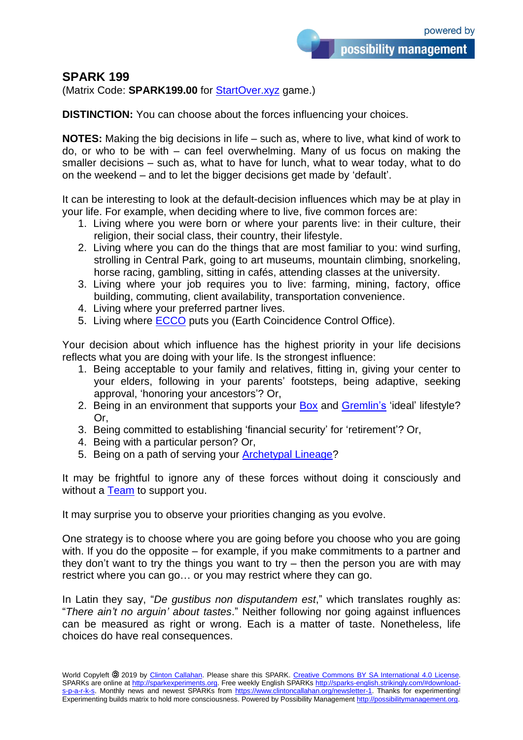## **SPARK 199**

(Matrix Code: **SPARK199.00** for [StartOver.xyz](http://startover.xyz/) game.)

**DISTINCTION:** You can choose about the forces influencing your choices.

**NOTES:** Making the big decisions in life – such as, where to live, what kind of work to do, or who to be with – can feel overwhelming. Many of us focus on making the smaller decisions – such as, what to have for lunch, what to wear today, what to do on the weekend – and to let the bigger decisions get made by 'default'.

It can be interesting to look at the default-decision influences which may be at play in your life. For example, when deciding where to live, five common forces are:

- 1. Living where you were born or where your parents live: in their culture, their religion, their social class, their country, their lifestyle.
- 2. Living where you can do the things that are most familiar to you: wind surfing, strolling in Central Park, going to art museums, mountain climbing, snorkeling, horse racing, gambling, sitting in cafés, attending classes at the university.
- 3. Living where your job requires you to live: farming, mining, factory, office building, commuting, client availability, transportation convenience.
- 4. Living where your preferred partner lives.
- 5. Living where **ECCO** puts you (Earth Coincidence Control Office).

Your decision about which influence has the highest priority in your life decisions reflects what you are doing with your life. Is the strongest influence:

- 1. Being acceptable to your family and relatives, fitting in, giving your center to your elders, following in your parents' footsteps, being adaptive, seeking approval, 'honoring your ancestors'? Or,
- 2. Being in an environment that supports your [Box](http://boxtechnology.mystrikingly.com/) and [Gremlin's](http://yourgremlin.mystrikingly.com/) 'ideal' lifestyle? Or,
- 3. Being committed to establishing 'financial security' for 'retirement'? Or,
- 4. Being with a particular person? Or,
- 5. Being on a path of serving your **Archetypal Lineage?**

It may be frightful to ignore any of these forces without doing it consciously and without a [Team](http://possibilityteam.org/) to support you.

It may surprise you to observe your priorities changing as you evolve.

One strategy is to choose where you are going before you choose who you are going with. If you do the opposite – for example, if you make commitments to a partner and they don't want to try the things you want to try  $-$  then the person you are with may restrict where you can go… or you may restrict where they can go.

In Latin they say, "*De gustibus non disputandem est*," which translates roughly as: "*There ain't no arguin' about tastes*." Neither following nor going against influences can be measured as right or wrong. Each is a matter of taste. Nonetheless, life choices do have real consequences.